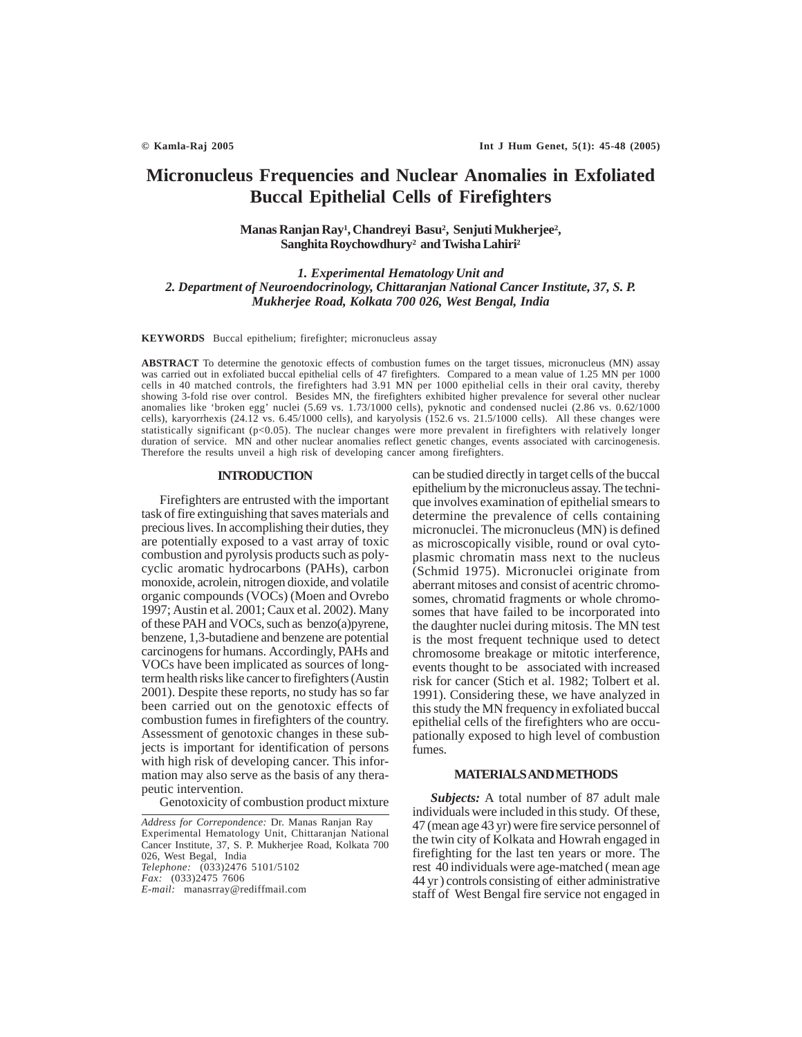# **Micronucleus Frequencies and Nuclear Anomalies in Exfoliated Buccal Epithelial Cells of Firefighters**

## **Manas Ranjan Ray1 , Chandreyi Basu2 , Senjuti Mukherjee2 , Sanghita Roychowdhury2 and Twisha Lahiri2**

*1. Experimental Hematology Unit and 2. Department of Neuroendocrinology, Chittaranjan National Cancer Institute, 37, S. P. Mukherjee Road, Kolkata 700 026, West Bengal, India*

**KEYWORDS** Buccal epithelium; firefighter; micronucleus assay

**ABSTRACT** To determine the genotoxic effects of combustion fumes on the target tissues, micronucleus (MN) assay was carried out in exfoliated buccal epithelial cells of 47 firefighters. Compared to a mean value of 1.25 MN per 1000 cells in 40 matched controls, the firefighters had 3.91 MN per 1000 epithelial cells in their oral cavity, thereby showing 3-fold rise over control. Besides MN, the firefighters exhibited higher prevalence for several other nuclear anomalies like 'broken egg' nuclei (5.69 vs. 1.73/1000 cells), pyknotic and condensed nuclei (2.86 vs. 0.62/1000 cells), karyorrhexis (24.12 vs. 6.45/1000 cells), and karyolysis (152.6 vs. 21.5/1000 cells). All these changes were statistically significant (p<0.05). The nuclear changes were more prevalent in firefighters with relatively longer duration of service. MN and other nuclear anomalies reflect genetic changes, events associated with carcinogenesis. Therefore the results unveil a high risk of developing cancer among firefighters.

## **INTRODUCTION**

Firefighters are entrusted with the important task of fire extinguishing that saves materials and precious lives. In accomplishing their duties, they are potentially exposed to a vast array of toxic combustion and pyrolysis products such as polycyclic aromatic hydrocarbons (PAHs), carbon monoxide, acrolein, nitrogen dioxide, and volatile organic compounds (VOCs) (Moen and Ovrebo 1997; Austin et al. 2001; Caux et al. 2002). Many of these PAH and VOCs, such as benzo(a)pyrene, benzene, 1,3-butadiene and benzene are potential carcinogens for humans. Accordingly, PAHs and VOCs have been implicated as sources of longterm health risks like cancer to firefighters (Austin 2001). Despite these reports, no study has so far been carried out on the genotoxic effects of combustion fumes in firefighters of the country. Assessment of genotoxic changes in these subjects is important for identification of persons with high risk of developing cancer. This information may also serve as the basis of any therapeutic intervention.

Genotoxicity of combustion product mixture

can be studied directly in target cells of the buccal epithelium by the micronucleus assay. The technique involves examination of epithelial smears to determine the prevalence of cells containing micronuclei. The micronucleus (MN) is defined as microscopically visible, round or oval cytoplasmic chromatin mass next to the nucleus (Schmid 1975). Micronuclei originate from aberrant mitoses and consist of acentric chromosomes, chromatid fragments or whole chromosomes that have failed to be incorporated into the daughter nuclei during mitosis. The MN test is the most frequent technique used to detect chromosome breakage or mitotic interference, events thought to be associated with increased risk for cancer (Stich et al. 1982; Tolbert et al. 1991). Considering these, we have analyzed in this study the MN frequency in exfoliated buccal epithelial cells of the firefighters who are occupationally exposed to high level of combustion fumes.

### **MATERIALS AND METHODS**

*Subjects:* A total number of 87 adult male individuals were included in this study. Of these, 47 (mean age 43 yr) were fire service personnel of the twin city of Kolkata and Howrah engaged in firefighting for the last ten years or more. The rest 40 individuals were age-matched ( mean age 44 yr ) controls consisting of either administrative staff of West Bengal fire service not engaged in

*Address for Correpondence:* Dr. Manas Ranjan Ray Experimental Hematology Unit, Chittaranjan National Cancer Institute, 37, S. P. Mukherjee Road, Kolkata 700 026, West Begal, India *Telephone:* (033)2476 5101/5102 *Fax:* (033)2475 7606 *E-mail:* manasrray@rediffmail.com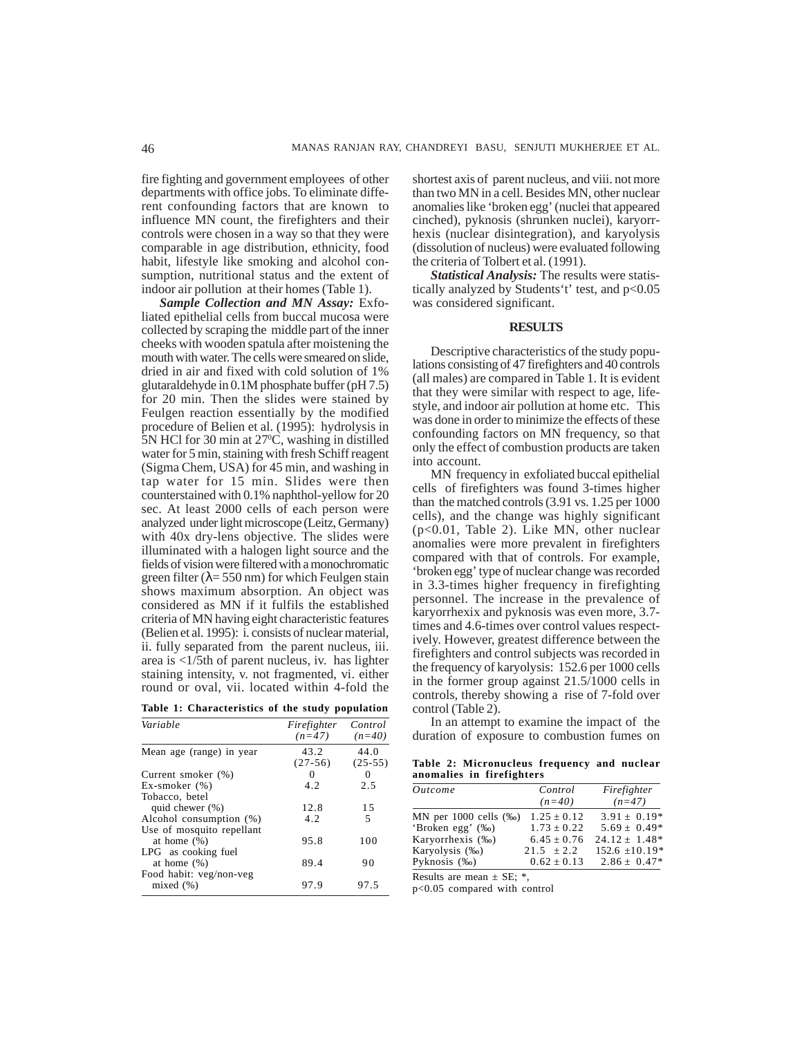fire fighting and government employees of other departments with office jobs. To eliminate different confounding factors that are known to influence MN count, the firefighters and their controls were chosen in a way so that they were comparable in age distribution, ethnicity, food habit, lifestyle like smoking and alcohol consumption, nutritional status and the extent of indoor air pollution at their homes (Table 1).

*Sample Collection and MN Assay:* Exfoliated epithelial cells from buccal mucosa were collected by scraping the middle part of the inner cheeks with wooden spatula after moistening the mouth with water. The cells were smeared on slide, dried in air and fixed with cold solution of 1% glutaraldehyde in 0.1M phosphate buffer (pH 7.5) for 20 min. Then the slides were stained by Feulgen reaction essentially by the modified procedure of Belien et al. (1995): hydrolysis in 5N HCl for 30 min at 27°C, washing in distilled water for 5 min, staining with fresh Schiff reagent (Sigma Chem, USA) for 45 min, and washing in tap water for 15 min. Slides were then counterstained with 0.1% naphthol-yellow for 20 sec. At least 2000 cells of each person were analyzed under light microscope (Leitz, Germany) with 40x dry-lens objective. The slides were illuminated with a halogen light source and the fields of vision were filtered with a monochromatic green filter ( $\lambda$ = 550 nm) for which Feulgen stain shows maximum absorption. An object was considered as MN if it fulfils the established criteria of MN having eight characteristic features (Belien et al. 1995): i. consists of nuclear material, ii. fully separated from the parent nucleus, iii. area is <1/5th of parent nucleus, iv. has lighter staining intensity, v. not fragmented, vi. either round or oval, vii. located within 4-fold the

|  |  | Table 1: Characteristics of the study population |  |  |  |  |
|--|--|--------------------------------------------------|--|--|--|--|
|--|--|--------------------------------------------------|--|--|--|--|

| Variable                                    | Firefighter<br>$(n=47)$ | Control<br>$(n=40)$ |
|---------------------------------------------|-------------------------|---------------------|
| Mean age (range) in year                    | 43.2<br>$(27-56)$       | 44.0<br>$(25-55)$   |
| Current smoker (%)                          | 0                       | 0                   |
| $Ex\text{-}smoker (%)$                      | 4.2                     | 2.5                 |
| Tobacco, betel                              |                         |                     |
| quid chewer $(\%)$                          | 12.8                    | 15                  |
| Alcohol consumption (%)                     | 4.2                     | 5                   |
| Use of mosquito repellant<br>at home $(\%)$ | 95.8                    | 100                 |
| LPG as cooking fuel<br>at home $(\%)$       | 89.4                    | 90                  |
| Food habit: veg/non-veg<br>mixed(%)         | 97.9                    | 97.5                |

shortest axis of parent nucleus, and viii. not more than two MN in a cell. Besides MN, other nuclear anomalies like 'broken egg' (nuclei that appeared cinched), pyknosis (shrunken nuclei), karyorrhexis (nuclear disintegration), and karyolysis (dissolution of nucleus) were evaluated following the criteria of Tolbert et al. (1991).

*Statistical Analysis:* The results were statistically analyzed by Students't' test, and p<0.05 was considered significant.

#### **RESULTS**

Descriptive characteristics of the study populations consisting of 47 firefighters and 40 controls (all males) are compared in Table 1. It is evident that they were similar with respect to age, lifestyle, and indoor air pollution at home etc. This was done in order to minimize the effects of these confounding factors on MN frequency, so that only the effect of combustion products are taken into account.

MN frequency in exfoliated buccal epithelial cells of firefighters was found 3-times higher than the matched controls (3.91 vs. 1.25 per 1000 cells), and the change was highly significant (p<0.01, Table 2). Like MN, other nuclear anomalies were more prevalent in firefighters compared with that of controls. For example, 'broken egg' type of nuclear change was recorded in 3.3-times higher frequency in firefighting personnel. The increase in the prevalence of karyorrhexix and pyknosis was even more, 3.7 times and 4.6-times over control values respectively. However, greatest difference between the firefighters and control subjects was recorded in the frequency of karyolysis: 152.6 per 1000 cells in the former group against 21.5/1000 cells in controls, thereby showing a rise of 7-fold over control (Table 2).

In an attempt to examine the impact of the duration of exposure to combustion fumes on

**Table 2: Micronucleus frequency and nuclear anomalies in firefighters**

| <i><u>Outcome</u></i>        | Control         | Firefighter        |
|------------------------------|-----------------|--------------------|
|                              | $(n=40)$        | $(n=47)$           |
| MN per $1000$ cells $(\%_0)$ | $1.25 \pm 0.12$ | $3.91 \pm 0.19*$   |
| 'Broken egg' (‰)             | $1.73 + 0.22$   | $5.69 \pm 0.49*$   |
| Karyorrhexis (‰)             | $6.45 \pm 0.76$ | $24.12 \pm 1.48^*$ |
| Karyolysis (‰)               | $21.5 \pm 2.2$  | $152.6 \pm 10.19*$ |
| Pyknosis $(\%$ <sup>o</sup>  | $0.62 \pm 0.13$ | $2.86 \pm 0.47*$   |

Results are mean  $\pm$  SE;  $*$ ,

p<0.05 compared with control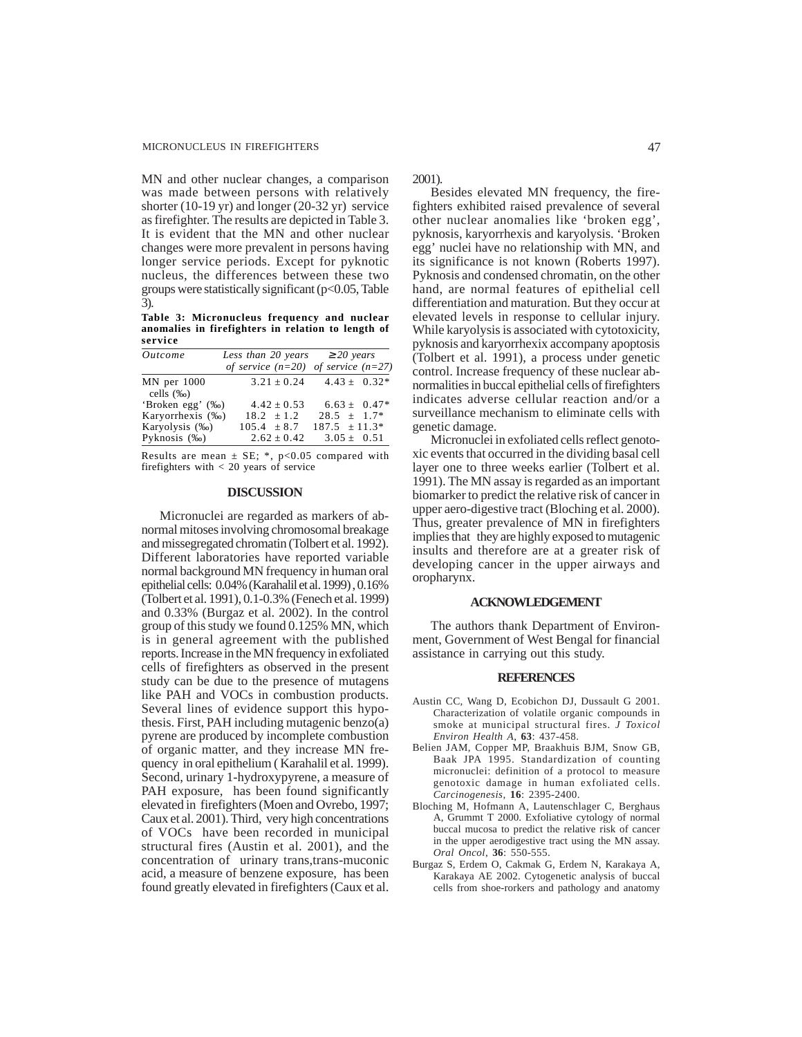MN and other nuclear changes, a comparison was made between persons with relatively shorter (10-19 yr) and longer (20-32 yr) service as firefighter. The results are depicted in Table 3. It is evident that the MN and other nuclear changes were more prevalent in persons having longer service periods. Except for pyknotic nucleus, the differences between these two groups were statistically significant  $(p<0.05$ , Table 3).

**Table 3: Micronucleus frequency and nuclear anomalies in firefighters in relation to length of service**

| <i><u>Outcome</u></i> | Less than 20 years                      | $\geq$ 20 years   |
|-----------------------|-----------------------------------------|-------------------|
|                       | of service $(n=20)$ of service $(n=27)$ |                   |
| $MN$ per $1000$       | $3.21 \pm 0.24$                         | $4.43 \pm 0.32^*$ |
| cells $(\%_0)$        |                                         |                   |
| 'Broken egg' (‰)      | $4.42 \pm 0.53$                         | $6.63 \pm 0.47*$  |
| Karyorrhexis (%)      | $18.2 \pm 1.2$                          | $28.5 \pm 1.7^*$  |
| Karyolysis (‰)        | $105.4 \pm 8.7$                         | $187.5 \pm 11.3*$ |
| Pyknosis $(\%$ o $)$  | $2.62 \pm 0.42$                         | $3.05 \pm 0.51$   |

Results are mean  $\pm$  SE; \*, p<0.05 compared with firefighters with  $< 20$  years of service

#### **DISCUSSION**

Micronuclei are regarded as markers of abnormal mitoses involving chromosomal breakage and missegregated chromatin (Tolbert et al. 1992). Different laboratories have reported variable normal background MN frequency in human oral epithelial cells: 0.04% (Karahalil et al. 1999) , 0.16% (Tolbert et al. 1991), 0.1-0.3% (Fenech et al. 1999) and 0.33% (Burgaz et al. 2002). In the control group of this study we found 0.125% MN, which is in general agreement with the published reports. Increase in the MN frequency in exfoliated cells of firefighters as observed in the present study can be due to the presence of mutagens like PAH and VOCs in combustion products. Several lines of evidence support this hypothesis. First, PAH including mutagenic benzo(a) pyrene are produced by incomplete combustion of organic matter, and they increase MN frequency in oral epithelium ( Karahalil et al. 1999). Second, urinary 1-hydroxypyrene, a measure of PAH exposure, has been found significantly elevated in firefighters (Moen and Ovrebo, 1997; Caux et al. 2001). Third, very high concentrations of VOCs have been recorded in municipal structural fires (Austin et al. 2001), and the concentration of urinary trans,trans-muconic acid, a measure of benzene exposure, has been found greatly elevated in firefighters (Caux et al.

2001).

Besides elevated MN frequency, the firefighters exhibited raised prevalence of several other nuclear anomalies like 'broken egg', pyknosis, karyorrhexis and karyolysis. 'Broken egg' nuclei have no relationship with MN, and its significance is not known (Roberts 1997). Pyknosis and condensed chromatin, on the other hand, are normal features of epithelial cell differentiation and maturation. But they occur at elevated levels in response to cellular injury. While karyolysis is associated with cytotoxicity, pyknosis and karyorrhexix accompany apoptosis (Tolbert et al. 1991), a process under genetic control. Increase frequency of these nuclear abnormalities in buccal epithelial cells of firefighters indicates adverse cellular reaction and/or a surveillance mechanism to eliminate cells with genetic damage.

Micronuclei in exfoliated cells reflect genotoxic events that occurred in the dividing basal cell layer one to three weeks earlier (Tolbert et al. 1991). The MN assay is regarded as an important biomarker to predict the relative risk of cancer in upper aero-digestive tract (Bloching et al. 2000). Thus, greater prevalence of MN in firefighters implies that they are highly exposed to mutagenic insults and therefore are at a greater risk of developing cancer in the upper airways and oropharynx.

## **ACKNOWLEDGEMENT**

The authors thank Department of Environment, Government of West Bengal for financial assistance in carrying out this study.

## **REFERENCES**

- Austin CC, Wang D, Ecobichon DJ, Dussault G 2001. Characterization of volatile organic compounds in smoke at municipal structural fires. *J Toxicol Environ Health A*, **63**: 437-458.
- Belien JAM, Copper MP, Braakhuis BJM, Snow GB, Baak JPA 1995. Standardization of counting micronuclei: definition of a protocol to measure genotoxic damage in human exfoliated cells. *Carcinogenesis,* **16**: 2395-2400.
- Bloching M, Hofmann A, Lautenschlager C, Berghaus A, Grummt T 2000. Exfoliative cytology of normal buccal mucosa to predict the relative risk of cancer in the upper aerodigestive tract using the MN assay. *Oral Oncol*, **36**: 550-555.
- Burgaz S, Erdem O, Cakmak G, Erdem N, Karakaya A, Karakaya AE 2002. Cytogenetic analysis of buccal cells from shoe-rorkers and pathology and anatomy